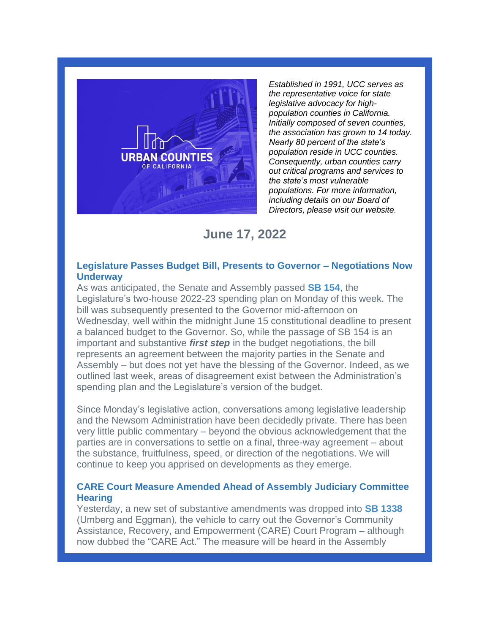

*Established in 1991, UCC serves as the representative voice for state legislative advocacy for highpopulation counties in California. Initially composed of seven counties, the association has grown to 14 today. Nearly 80 percent of the state's population reside in UCC counties. Consequently, urban counties carry out critical programs and services to the state's most vulnerable populations. For more information, including details on our Board of Directors, please visit [our website.](https://urbancounties.com/)*

# **June 17, 2022**

## **Legislature Passes Budget Bill, Presents to Governor – Negotiations Now Underway**

As was anticipated, the Senate and Assembly passed **[SB 154](https://leginfo.legislature.ca.gov/faces/billNavClient.xhtml?bill_id=202120220SB154)**, the Legislature's two-house 2022-23 spending plan on Monday of this week. The bill was subsequently presented to the Governor mid-afternoon on Wednesday, well within the midnight June 15 constitutional deadline to present a balanced budget to the Governor. So, while the passage of SB 154 is an important and substantive *first step* in the budget negotiations, the bill represents an agreement between the majority parties in the Senate and Assembly – but does not yet have the blessing of the Governor. Indeed, as we outlined last week, areas of disagreement exist between the Administration's spending plan and the Legislature's version of the budget.

Since Monday's legislative action, conversations among legislative leadership and the Newsom Administration have been decidedly private. There has been very little public commentary – beyond the obvious acknowledgement that the parties are in conversations to settle on a final, three-way agreement – about the substance, fruitfulness, speed, or direction of the negotiations. We will continue to keep you apprised on developments as they emerge.

## **CARE Court Measure Amended Ahead of Assembly Judiciary Committee Hearing**

Yesterday, a new set of substantive amendments was dropped into **[SB 1338](https://leginfo.legislature.ca.gov/faces/billNavClient.xhtml?bill_id=202120220SB1338)** (Umberg and Eggman), the vehicle to carry out the Governor's Community Assistance, Recovery, and Empowerment (CARE) Court Program – although now dubbed the "CARE Act." The measure will be heard in the Assembly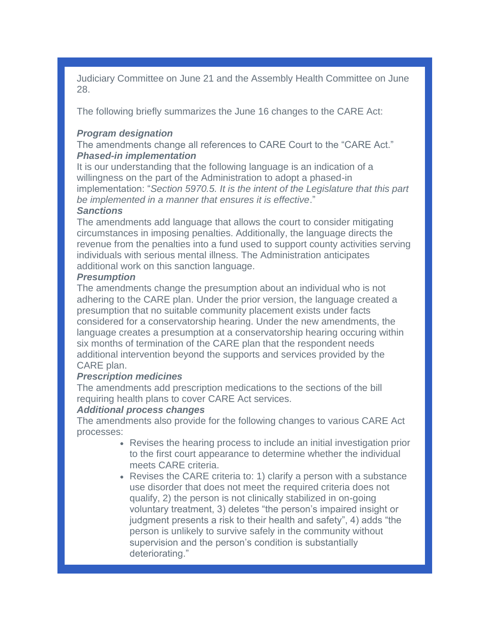Judiciary Committee on June 21 and the Assembly Health Committee on June 28.

The following briefly summarizes the June 16 changes to the CARE Act:

## *Program designation*

The amendments change all references to CARE Court to the "CARE Act." *Phased-in implementation*

It is our understanding that the following language is an indication of a willingness on the part of the Administration to adopt a phased-in implementation: "*Section 5970.5. It is the intent of the Legislature that this part be implemented in a manner that ensures it is effective*."

## *Sanctions*

The amendments add language that allows the court to consider mitigating circumstances in imposing penalties. Additionally, the language directs the revenue from the penalties into a fund used to support county activities serving individuals with serious mental illness. The Administration anticipates additional work on this sanction language.

#### *Presumption*

The amendments change the presumption about an individual who is not adhering to the CARE plan. Under the prior version, the language created a presumption that no suitable community placement exists under facts considered for a conservatorship hearing. Under the new amendments, the language creates a presumption at a conservatorship hearing occuring within six months of termination of the CARE plan that the respondent needs additional intervention beyond the supports and services provided by the CARE plan.

#### *Prescription medicines*

The amendments add prescription medications to the sections of the bill requiring health plans to cover CARE Act services.

## *Additional process changes*

The amendments also provide for the following changes to various CARE Act processes:

- Revises the hearing process to include an initial investigation prior to the first court appearance to determine whether the individual meets CARE criteria.
- Revises the CARE criteria to: 1) clarify a person with a substance use disorder that does not meet the required criteria does not qualify, 2) the person is not clinically stabilized in on-going voluntary treatment, 3) deletes "the person's impaired insight or judgment presents a risk to their health and safety", 4) adds "the person is unlikely to survive safely in the community without supervision and the person's condition is substantially deteriorating."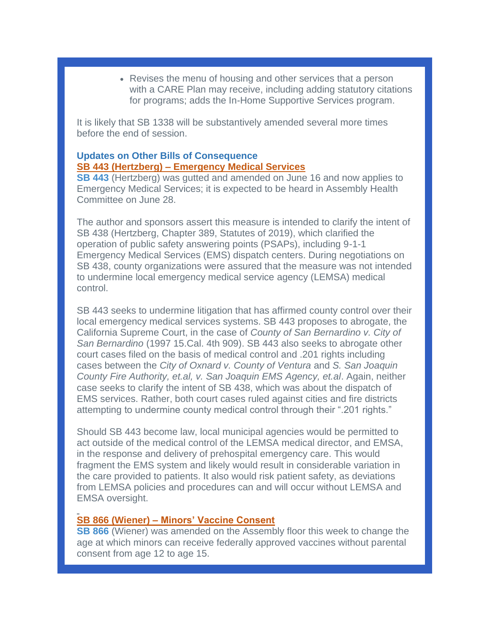• Revises the menu of housing and other services that a person with a CARE Plan may receive, including adding statutory citations for programs; adds the In-Home Supportive Services program.

It is likely that SB 1338 will be substantively amended several more times before the end of session.

## **Updates on Other Bills of Consequence SB 443 (Hertzberg) – Emergency Medical Services**

**[SB 443](https://leginfo.legislature.ca.gov/faces/billNavClient.xhtml?bill_id=202120220SB443)** (Hertzberg) was gutted and amended on June 16 and now applies to Emergency Medical Services; it is expected to be heard in Assembly Health Committee on June 28.

The author and sponsors assert this measure is intended to clarify the intent of SB 438 (Hertzberg, Chapter 389, Statutes of 2019), which clarified the operation of public safety answering points (PSAPs), including 9-1-1 Emergency Medical Services (EMS) dispatch centers. During negotiations on SB 438, county organizations were assured that the measure was not intended to undermine local emergency medical service agency (LEMSA) medical control.

SB 443 seeks to undermine litigation that has affirmed county control over their local emergency medical services systems. SB 443 proposes to abrogate, the California Supreme Court, in the case of *County of San Bernardino v. City of San Bernardino* (1997 15.Cal. 4th 909). SB 443 also seeks to abrogate other court cases filed on the basis of medical control and .201 rights including cases between the *City of Oxnard v. County of Ventura* and *S. San Joaquin County Fire Authority, et.al, v. San Joaquin EMS Agency, et.al*. Again, neither case seeks to clarify the intent of SB 438, which was about the dispatch of EMS services. Rather, both court cases ruled against cities and fire districts attempting to undermine county medical control through their ".201 rights."

Should SB 443 become law, local municipal agencies would be permitted to act outside of the medical control of the LEMSA medical director, and EMSA, in the response and delivery of prehospital emergency care. This would fragment the EMS system and likely would result in considerable variation in the care provided to patients. It also would risk patient safety, as deviations from LEMSA policies and procedures can and will occur without LEMSA and EMSA oversight.

#### **SB 866 (Wiener) – Minors' Vaccine Consent**

**[SB 866](https://leginfo.legislature.ca.gov/faces/billTextClient.xhtml?bill_id=202120220SB866)** (Wiener) was amended on the Assembly floor this week to change the age at which minors can receive federally approved vaccines without parental consent from age 12 to age 15.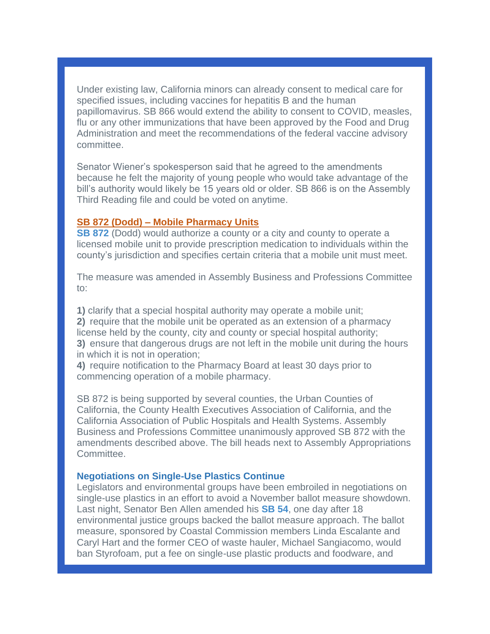Under existing law, California minors can already consent to medical care for specified issues, including vaccines for hepatitis B and the human papillomavirus. SB 866 would extend the ability to consent to COVID, measles, flu or any other immunizations that have been approved by the Food and Drug Administration and meet the recommendations of the federal vaccine advisory committee.

Senator Wiener's spokesperson said that he agreed to the amendments because he felt the majority of young people who would take advantage of the bill's authority would likely be 15 years old or older. SB 866 is on the Assembly Third Reading file and could be voted on anytime.

## **SB 872 (Dodd) – Mobile Pharmacy Units**

**[SB 872](https://leginfo.legislature.ca.gov/faces/billTextClient.xhtml?bill_id=202120220SB872)** (Dodd) would authorize a county or a city and county to operate a licensed mobile unit to provide prescription medication to individuals within the county's jurisdiction and specifies certain criteria that a mobile unit must meet.

The measure was amended in Assembly Business and Professions Committee to:

**1)** clarify that a special hospital authority may operate a mobile unit; **2)** require that the mobile unit be operated as an extension of a pharmacy license held by the county, city and county or special hospital authority; **3)** ensure that dangerous drugs are not left in the mobile unit during the hours in which it is not in operation;

**4)** require notification to the Pharmacy Board at least 30 days prior to commencing operation of a mobile pharmacy.

SB 872 is being supported by several counties, the Urban Counties of California, the County Health Executives Association of California, and the California Association of Public Hospitals and Health Systems. Assembly Business and Professions Committee unanimously approved SB 872 with the amendments described above. The bill heads next to Assembly Appropriations Committee.

## **Negotiations on Single-Use Plastics Continue**

Legislators and environmental groups have been embroiled in negotiations on single-use plastics in an effort to avoid a November ballot measure showdown. Last night, Senator Ben Allen amended his **[SB 54](https://leginfo.legislature.ca.gov/faces/billNavClient.xhtml?bill_id=202120220SB54)**, one day after 18 environmental justice groups backed the ballot measure approach. The ballot measure, sponsored by Coastal Commission members Linda Escalante and Caryl Hart and the former CEO of waste hauler, Michael Sangiacomo, would ban Styrofoam, put a fee on single-use plastic products and foodware, and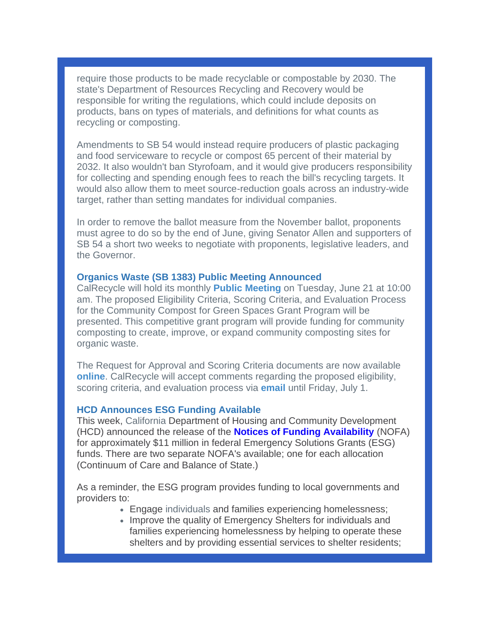require those products to be made recyclable or compostable by 2030. The state's Department of Resources Recycling and Recovery would be responsible for writing the regulations, which could include deposits on products, bans on types of materials, and definitions for what counts as recycling or composting.

Amendments to SB 54 would instead require producers of plastic packaging and food serviceware to recycle or compost 65 percent of their material by 2032. It also wouldn't ban Styrofoam, and it would give producers responsibility for collecting and spending enough fees to reach the bill's recycling targets. It would also allow them to meet source-reduction goals across an industry-wide target, rather than setting mandates for individual companies.

In order to remove the ballot measure from the November ballot, proponents must agree to do so by the end of June, giving Senator Allen and supporters of SB 54 a short two weeks to negotiate with proponents, legislative leaders, and the Governor.

## **Organics Waste (SB 1383) Public Meeting Announced**

CalRecycle will hold its monthly **[Public Meeting](https://www2.calrecycle.ca.gov/PublicNotices/Details/4740)** on Tuesday, June 21 at 10:00 am. The proposed Eligibility Criteria, Scoring Criteria, and Evaluation Process for the Community Compost for Green Spaces Grant Program will be presented. This competitive grant program will provide funding for community composting to create, improve, or expand community composting sites for organic waste.

The Request for Approval and Scoring Criteria documents are now available **[online](https://www2.calrecycle.ca.gov/PublicNotices/Details/4723)**. CalRecycle will accept comments regarding the proposed eligibility, scoring criteria, and evaluation process via **[email](mailto:ghgreductions@calrecycle.ca.gov)** until Friday, July 1.

#### **HCD Announces ESG Funding Available**

This week, California Department of Housing and Community Development (HCD) announced the release of the **[Notices of Funding Availability](https://r20.rs6.net/tn.jsp?f=001hJN2cq2sHlKVP1VP6KuOv93Y9p0uHuPbDvrtH0RD-q3FALIzs0vSAA4i4xuN36xSAp1A17j0HPDzh2A_JqrmNiooThuYv8rGi9ZGaX12iM30vS6NHspHVe5C0qBgdTKLUe-MSvT-DlTm7dF_MBtBdBPh0fXqMJWtDUsh0Gg1h_U6H0otEbvhMA==&c=MpiT76PDQ_bLBua-vqQwiKnPXNIEUM0aJEGZrxG0CPxUDpynG6ZI5w==&ch=udxtLuwhrsBfrpB5aZIkQK-Elqxc1Bev5Hf_V1Fg70v1T4fQ2LdUKA==)** (NOFA) for approximately \$11 million in federal Emergency Solutions Grants (ESG) funds. There are two separate NOFA's available; one for each allocation (Continuum of Care and Balance of State.)

As a reminder, the ESG program provides funding to local governments and providers to:

- Engage individuals and families experiencing homelessness;
- Improve the quality of Emergency Shelters for individuals and families experiencing homelessness by helping to operate these shelters and by providing essential services to shelter residents;